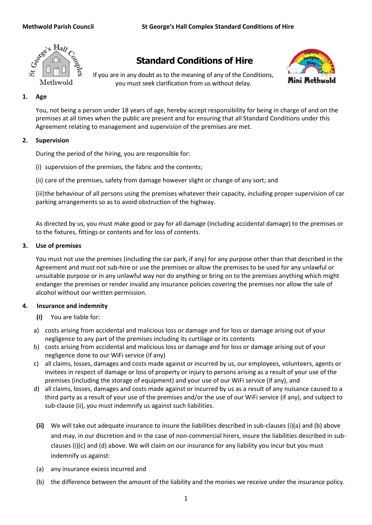

# **Standard Conditions of Hire**

If you are in any doubt as to the meaning of any of the Conditions, you must seek clarification from us without delay.



# **1. Age**

You, not being a person under 18 years of age, hereby accept responsibility for being in charge of and on the premises at all times when the public are present and for ensuring that all Standard Conditions under this Agreement relating to management and supervision of the premises are met.

# **2. Supervision**

During the period of the hiring, you are responsible for:

(i) supervision of the premises, the fabric and the contents;

(ii) care of the premises, safety from damage however slight or change of any sort; and

(iii)the behaviour of all persons using the premises whatever their capacity, including proper supervision of car parking arrangements so as to avoid obstruction of the highway.

As directed by us, you must make good or pay for all damage (including accidental damage) to the premises or to the fixtures, fittings or contents and for loss of contents.

# **3. Use of premises**

You must not use the premises (including the car park, if any) for any purpose other than that described in the Agreement and must not sub-hire or use the premises or allow the premises to be used for any unlawful or unsuitable purpose or in any unlawful way nor do anything or bring on to the premises anything which might endanger the premises or render invalid any insurance policies covering the premises nor allow the sale of alcohol without our written permission.

# **4. Insurance and indemnity**

- **(i)** You are liable for:
- a) costs arising from accidental and malicious loss or damage and for loss or damage arising out of your negligence to any part of the premises including its curtilage or its contents
- b) costs arising from accidental and malicious loss or damage and for loss or damage arising out of your negligence done to our WiFi service (if any)
- c) all claims, losses, damages and costs made against or incurred by us, our employees, volunteers, agents or invitees in respect of damage or loss of property or injury to persons arising as a result of your use of the premises (including the storage of equipment) and your use of our WiFi service (if any), and
- d) all claims, losses, damages and costs made against or incurred by us as a result of any nuisance caused to a third party as a result of your use of the premises and/or the use of our WiFi service (if any), and subject to sub-clause (ii), you must indemnify us against such liabilities.
- **(ii)** We will take out adequate insurance to insure the liabilities described in sub-clauses (i)(a) and (b) above and may, in our discretion and in the case of non-commercial hirers, insure the liabilities described in subclauses (i)(c) and (d) above. We will claim on our insurance for any liability you incur but you must indemnify us against:
- (a) any insurance excess incurred and
- (b) the difference between the amount of the liability and the monies we receive under the insurance policy.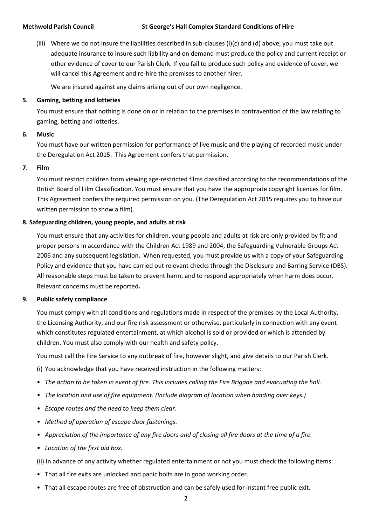### **Methwold Parish Council St George's Hall Complex Standard Conditions of Hire**

(iii) Where we do not insure the liabilities described in sub-clauses (i)(c) and (d) above, you must take out adequate insurance to insure such liability and on demand must produce the policy and current receipt or other evidence of cover to our Parish Clerk. If you fail to produce such policy and evidence of cover, we will cancel this Agreement and re-hire the premises to another hirer.

We are insured against any claims arising out of our own negligence.

### **5. Gaming, betting and lotteries**

You must ensure that nothing is done on or in relation to the premises in contravention of the law relating to gaming, betting and lotteries.

### **6. Music**

You must have our written permission for performance of live music and the playing of recorded music under the Deregulation Act 2015. This Agreement confers that permission.

### **7. Film**

You must restrict children from viewing age-restricted films classified according to the recommendations of the British Board of Film Classification. You must ensure that you have the appropriate copyright licences for film. This Agreement confers the required permission on you. (The Deregulation Act 2015 requires you to have our written permission to show a film).

# **8. Safeguarding children, young people, and adults at risk**

You must ensure that any activities for children, young people and adults at risk are only provided by fit and proper persons in accordance with the Children Act 1989 and 2004, the Safeguarding Vulnerable Groups Act 2006 and any subsequent legislation. When requested, you must provide us with a copy of your Safeguarding Policy and evidence that you have carried out relevant checks through the Disclosure and Barring Service (DBS). All reasonable steps must be taken to prevent harm, and to respond appropriately when harm does occur. Relevant concerns must be reported.

### **9. Public safety compliance**

You must comply with all conditions and regulations made in respect of the premises by the Local Authority, the Licensing Authority, and our fire risk assessment or otherwise, particularly in connection with any event which constitutes regulated entertainment, at which alcohol is sold or provided or which is attended by children. You must also comply with our health and safety policy.

You must call the Fire Service to any outbreak of fire, however slight, and give details to our Parish Clerk.

(i) You acknowledge that you have received instruction in the following matters:

- *The action to be taken in event of fire. This includes calling the Fire Brigade and evacuating the hall.*
- *• The location and use of fire equipment. (Include diagram of location when handing over keys.)*
- *• Escape routes and the need to keep them clear.*
- *• Method of operation of escape door fastenings.*
- *• Appreciation of the importance of any fire doors and of closing all fire doors at the time of a fire.*
- *• Location of the first aid box.*

(ii) In advance of any activity whether regulated entertainment or not you must check the following items:

- That all fire exits are unlocked and panic bolts are in good working order.
- That all escape routes are free of obstruction and can be safely used for instant free public exit.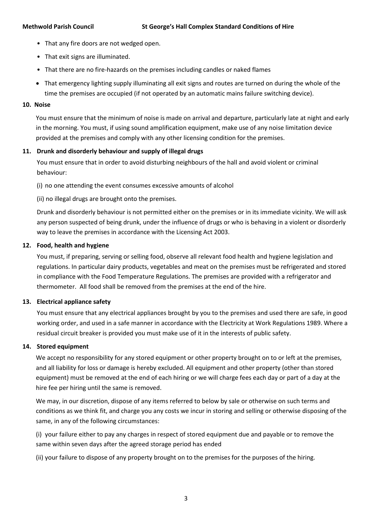- That any fire doors are not wedged open.
- That exit signs are illuminated.
- That there are no fire-hazards on the premises including candles or naked flames
- That emergency lighting supply illuminating all exit signs and routes are turned on during the whole of the time the premises are occupied (if not operated by an automatic mains failure switching device).

# **10. Noise**

You must ensure that the minimum of noise is made on arrival and departure, particularly late at night and early in the morning. You must, if using sound amplification equipment, make use of any noise limitation device provided at the premises and comply with any other licensing condition for the premises.

# **11. Drunk and disorderly behaviour and supply of illegal drugs**

You must ensure that in order to avoid disturbing neighbours of the hall and avoid violent or criminal behaviour:

(i) no one attending the event consumes excessive amounts of alcohol

(ii) no illegal drugs are brought onto the premises.

Drunk and disorderly behaviour is not permitted either on the premises or in its immediate vicinity. We will ask any person suspected of being drunk, under the influence of drugs or who is behaving in a violent or disorderly way to leave the premises in accordance with the Licensing Act 2003.

# **12. Food, health and hygiene**

You must, if preparing, serving or selling food, observe all relevant food health and hygiene legislation and regulations. In particular dairy products, vegetables and meat on the premises must be refrigerated and stored in compliance with the Food Temperature Regulations. The premises are provided with a refrigerator and thermometer. All food shall be removed from the premises at the end of the hire.

# **13. Electrical appliance safety**

You must ensure that any electrical appliances brought by you to the premises and used there are safe, in good working order, and used in a safe manner in accordance with the Electricity at Work Regulations 1989. Where a residual circuit breaker is provided you must make use of it in the interests of public safety.

# **14. Stored equipment**

We accept no responsibility for any stored equipment or other property brought on to or left at the premises, and all liability for loss or damage is hereby excluded. All equipment and other property (other than stored equipment) must be removed at the end of each hiring or we will charge fees each day or part of a day at the hire fee per hiring until the same is removed.

We may, in our discretion, dispose of any items referred to below by sale or otherwise on such terms and conditions as we think fit, and charge you any costs we incur in storing and selling or otherwise disposing of the same, in any of the following circumstances:

(i) your failure either to pay any charges in respect of stored equipment due and payable or to remove the same within seven days after the agreed storage period has ended

(ii) your failure to dispose of any property brought on to the premises for the purposes of the hiring.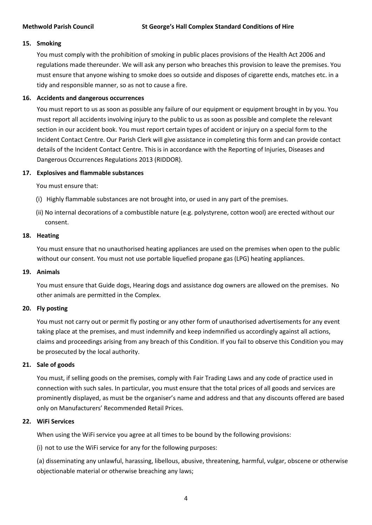# **15. Smoking**

You must comply with the prohibition of smoking in public places provisions of the Health Act 2006 and regulations made thereunder. We will ask any person who breaches this provision to leave the premises. You must ensure that anyone wishing to smoke does so outside and disposes of cigarette ends, matches etc. in a tidy and responsible manner, so as not to cause a fire.

# **16. Accidents and dangerous occurrences**

You must report to us as soon as possible any failure of our equipment or equipment brought in by you. You must report all accidents involving injury to the public to us as soon as possible and complete the relevant section in our accident book. You must report certain types of accident or injury on a special form to the Incident Contact Centre. Our Parish Clerk will give assistance in completing this form and can provide contact details of the Incident Contact Centre. This is in accordance with the Reporting of Injuries, Diseases and Dangerous Occurrences Regulations 2013 (RIDDOR).

# **17. Explosives and flammable substances**

You must ensure that:

- (i) Highly flammable substances are not brought into, or used in any part of the premises.
- (ii) No internal decorations of a combustible nature (e.g. polystyrene, cotton wool) are erected without our consent.

### **18. Heating**

You must ensure that no unauthorised heating appliances are used on the premises when open to the public without our consent. You must not use portable liquefied propane gas (LPG) heating appliances.

# **19. Animals**

You must ensure that Guide dogs, Hearing dogs and assistance dog owners are allowed on the premises. No other animals are permitted in the Complex.

# **20. Fly posting**

You must not carry out or permit fly posting or any other form of unauthorised advertisements for any event taking place at the premises, and must indemnify and keep indemnified us accordingly against all actions, claims and proceedings arising from any breach of this Condition. If you fail to observe this Condition you may be prosecuted by the local authority.

# **21. Sale of goods**

You must, if selling goods on the premises, comply with Fair Trading Laws and any code of practice used in connection with such sales. In particular, you must ensure that the total prices of all goods and services are prominently displayed, as must be the organiser's name and address and that any discounts offered are based only on Manufacturers' Recommended Retail Prices.

# **22. WiFi Services**

When using the WiFi service you agree at all times to be bound by the following provisions:

(i) not to use the WiFi service for any for the following purposes:

(a) disseminating any unlawful, harassing, libellous, abusive, threatening, harmful, vulgar, obscene or otherwise objectionable material or otherwise breaching any laws;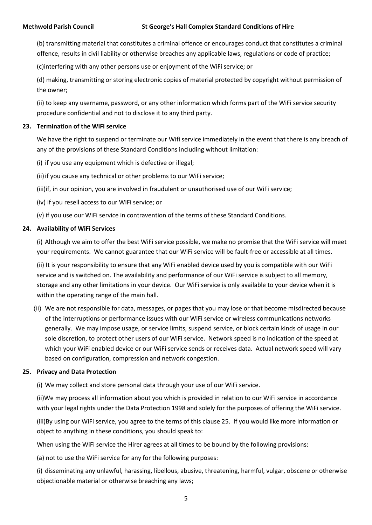(b) transmitting material that constitutes a criminal offence or encourages conduct that constitutes a criminal offence, results in civil liability or otherwise breaches any applicable laws, regulations or code of practice;

(c)interfering with any other persons use or enjoyment of the WiFi service; or

(d) making, transmitting or storing electronic copies of material protected by copyright without permission of the owner;

(ii) to keep any username, password, or any other information which forms part of the WiFi service security procedure confidential and not to disclose it to any third party.

# **23. Termination of the WiFi service**

We have the right to suspend or terminate our Wifi service immediately in the event that there is any breach of any of the provisions of these Standard Conditions including without limitation:

(i) if you use any equipment which is defective or illegal;

(ii) if you cause any technical or other problems to our WiFi service;

(iii)if, in our opinion, you are involved in fraudulent or unauthorised use of our WiFi service;

(iv) if you resell access to our WiFi service; or

(v) if you use our WiFi service in contravention of the terms of these Standard Conditions.

# **24. Availability of WiFi Services**

(i) Although we aim to offer the best WiFi service possible, we make no promise that the WiFi service will meet your requirements. We cannot guarantee that our WiFi service will be fault-free or accessible at all times.

(ii) It is your responsibility to ensure that any WiFi enabled device used by you is compatible with our WiFi service and is switched on. The availability and performance of our WiFi service is subject to all memory, storage and any other limitations in your device. Our WiFi service is only available to your device when it is within the operating range of the main hall.

(ii) We are not responsible for data, messages, or pages that you may lose or that become misdirected because of the interruptions or performance issues with our WiFi service or wireless communications networks generally. We may impose usage, or service limits, suspend service, or block certain kinds of usage in our sole discretion, to protect other users of our WiFi service. Network speed is no indication of the speed at which your WiFi enabled device or our WiFi service sends or receives data. Actual network speed will vary based on configuration, compression and network congestion.

# **25. Privacy and Data Protection**

(i) We may collect and store personal data through your use of our WiFi service.

(ii)We may process all information about you which is provided in relation to our WiFi service in accordance with your legal rights under the Data Protection 1998 and solely for the purposes of offering the WiFi service.

(iii)By using our WiFi service, you agree to the terms of this clause 25. If you would like more information or object to anything in these conditions, you should speak to:

When using the WiFi service the Hirer agrees at all times to be bound by the following provisions:

(a) not to use the WiFi service for any for the following purposes:

(i) disseminating any unlawful, harassing, libellous, abusive, threatening, harmful, vulgar, obscene or otherwise objectionable material or otherwise breaching any laws;